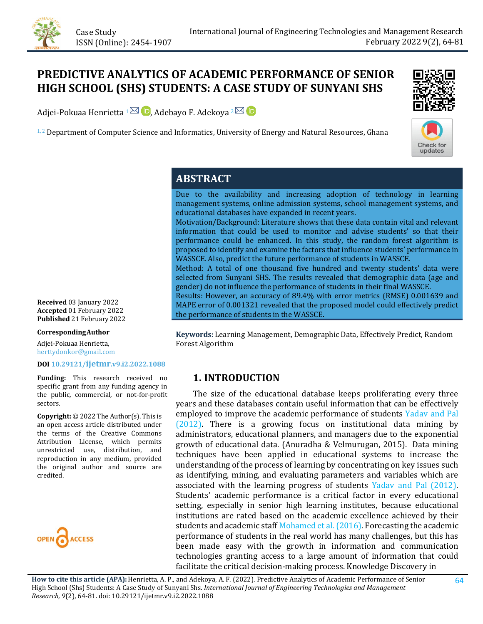

# **PREDICTIVE ANALYTICS OF ACADEMIC PERFORMANCE OF SENIOR HIGH SCHOOL (SHS) STUDENTS: A CASE STUDY OF SUNYANI SHS**

Adjei-Pokuaa Henrietta  $1^{\boxtimes}$  D, Adebayo F. Adekoya  $2^{\boxtimes}$  D

 $1, 2$  Department of Computer Science and Informatics, University of Energy and Natural Resources, Ghana





# **ABSTRACT**

Due to the availability and increasing adoption of technology in learning management systems, online admission systems, school management systems, and educational databases have expanded in recent years. Motivation/Background: Literature shows that these data contain vital and relevant information that could be used to monitor and advise students' so that their performance could be enhanced. In this study, the random forest algorithm is proposed to identify and examine the factors that influence students' performance in WASSCE. Also, predict the future performance of students in WASSCE. Method: A total of one thousand five hundred and twenty students' data were selected from Sunyani SHS. The results revealed that demographic data (age and gender) do not influence the performance of students in their final WASSCE. Results: However, an accuracy of 89.4% with error metrics (RMSE) 0.001639 and

MAPE error of 0.001321 revealed that the proposed model could effectively predict the performance of students in the WASSCE.

**Keywords:** Learning Management, Demographic Data, Effectively Predict, Random Forest Algorithm

### **1. INTRODUCTION**

 The size of the educational database keeps proliferating every three years and these databases contain useful information that can be effectively employed to improve the academic performance of students [Yadav and Pal](#page-17-0)  [\(2012\).](#page-17-0) There is a growing focus on institutional data mining by administrators, educational planners, and managers due to the exponential growth of educational data. (Anuradha & Velmurugan, 2015). Data mining techniques have been applied in educational systems to increase the understanding of the process of learning by concentrating on key issues such as identifying, mining, and evaluating parameters and variables which are associated with the learning progress of students [Yadav and Pal \(2012\).](#page-17-0) Students' academic performance is a critical factor in every educational setting, especially in senior high learning institutes, because educational institutions are rated based on the academic excellence achieved by their students and academic staf[f Mohamed et al. \(2016\).](#page-16-0) Forecasting the academic performance of students in the real world has many challenges, but this has been made easy with the growth in information and communication technologies granting access to a large amount of information that could facilitate the critical decision-making process. Knowledge Discovery in

**How to cite this article (APA):** Henrietta, A. P., and Adekoya, A. F. (2022). Predictive Analytics of Academic Performance of Senior High School (Shs) Students: A Case Study of Sunyani Shs. *International Journal of Engineering Technologies and Management Research, 9*(2), 64-81[. doi:](https://doi.org/10.29121/granthaalayah.v9.i6.2021.3923) [10.29121/ijetmr.v9.i2.2022.1088](https://doi.org/10.29121/ijetmr.v9.i2.2022.1088) 

**Received** 03 January 2022 **Accepted** 01 February 2022 **Published** 21 February 2022

#### **CorrespondingAuthor**

Adjei-Pokuaa Henrietta, herttydonkor@gmail.com

#### **DOI [10.29121/ijetmr.v9.i2.2022.1088](https://dx.doi.org/10.29121/ijetmr.v9.i2.2022.1088)**

**Funding:** This research received no specific grant from any funding agency in the public, commercial, or not-for-profit sectors.

**Copyright:** © 2022 The Author(s). This is an open access article distributed under the terms of the Creative Commons Attribution License, which permits unrestricted use, distribution, and reproduction in any medium, provided the original author and source are credited.

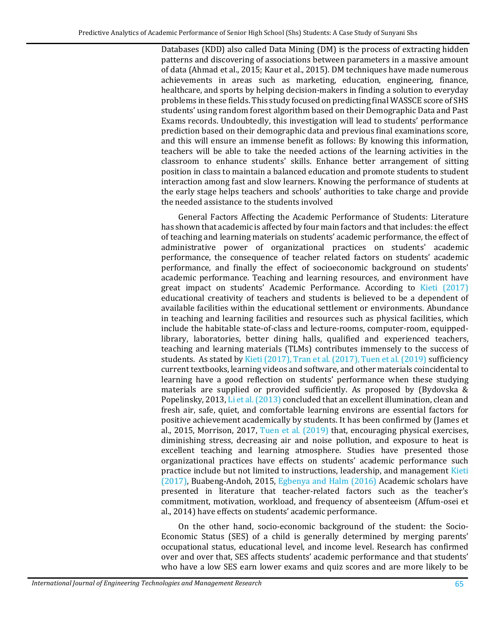Databases (KDD) also called Data Mining (DM) is the process of extracting hidden patterns and discovering of associations between parameters in a massive amount of data (Ahmad et al., 2015; Kaur et al., 2015). DM techniques have made numerous achievements in areas such as marketing, education, engineering, finance, healthcare, and sports by helping decision-makers in finding a solution to everyday problems in these fields. This study focused on predicting final WASSCE score of SHS students' using random forest algorithm based on their Demographic Data and Past Exams records. Undoubtedly, this investigation will lead to students' performance prediction based on their demographic data and previous final examinations score, and this will ensure an immense benefit as follows: By knowing this information, teachers will be able to take the needed actions of the learning activities in the classroom to enhance students' skills. Enhance better arrangement of sitting position in class to maintain a balanced education and promote students to student interaction among fast and slow learners. Knowing the performance of students at the early stage helps teachers and schools' authorities to take charge and provide the needed assistance to the students involved

General Factors Affecting the Academic Performance of Students: Literature has shown that academic is affected by four main factors and that includes: the effect of teaching and learning materials on students' academic performance, the effect of administrative power of organizational practices on students' academic performance, the consequence of teacher related factors on students' academic performance, and finally the effect of socioeconomic background on students' academic performance. Teaching and learning resources, and environment have great impact on students' Academic Performance. According to [Kieti \(2017\)](#page-15-0) educational creativity of teachers and students is believed to be a dependent of available facilities within the educational settlement or environments. Abundance in teaching and learning facilities and resources such as physical facilities, which include the habitable state-of-class and lecture-rooms, computer-room, equippedlibrary, laboratories, better dining halls, qualified and experienced teachers, teaching and learning materials (TLMs) contributes immensely to the success of students. As stated by [Kieti \(2017\),](#page-15-0) [Tran et al. \(2017\),](#page-17-1) [Tuen et al. \(2019\)](#page-17-2) sufficiency current textbooks, learning videos and software, and other materials coincidental to learning have a good reflection on students' performance when these studying materials are supplied or provided sufficiently. As proposed by (Bydovska & Popelinsky, 2013, [Li et al. \(2013\)](#page-16-1) concluded that an excellent illumination, clean and fresh air, safe, quiet, and comfortable learning environs are essential factors for positive achievement academically by students. It has been confirmed by (James et al., 2015, Morrison, 2017, [Tuen et al. \(2019\)](#page-17-2) that, encouraging physical exercises, diminishing stress, decreasing air and noise pollution, and exposure to heat is excellent teaching and learning atmosphere. Studies have presented those organizational practices have effects on students' academic performance such practice include but not limited to instructions, leadership, and management [Kieti](#page-15-0)  [\(2017\),](#page-15-0) Buabeng-Andoh, 2015, [Egbenya and Halm \(2016\)](#page-15-1) Academic scholars have presented in literature that teacher-related factors such as the teacher's commitment, motivation, workload, and frequency of absenteeism (Affum-osei et al., 2014) have effects on students' academic performance.

On the other hand, socio-economic background of the student: the Socio-Economic Status (SES) of a child is generally determined by merging parents' occupational status, educational level, and income level. Research has confirmed over and over that, SES affects students' academic performance and that students' who have a low SES earn lower exams and quiz scores and are more likely to be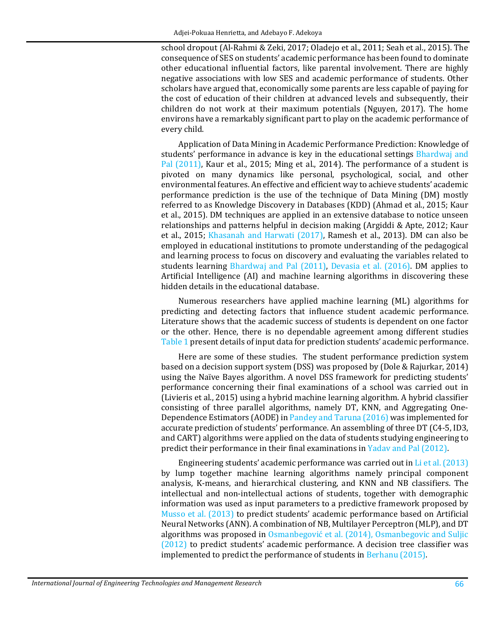school dropout (Al-Rahmi & Zeki, 2017; Oladejo et al., 2011; Seah et al., 2015). The consequence of SES on students' academic performance has been found to dominate other educational influential factors, like parental involvement. There are highly negative associations with low SES and academic performance of students. Other scholars have argued that, economically some parents are less capable of paying for the cost of education of their children at advanced levels and subsequently, their children do not work at their maximum potentials (Nguyen, 2017). The home environs have a remarkably significant part to play on the academic performance of every child.

Application of Data Mining in Academic Performance Prediction: Knowledge of students' performance in advance is key in the educational settings [Bhardwaj and](#page-14-0)  [Pal \(2011\),](#page-14-0) Kaur et al., 2015; Ming et al., 2014). The performance of a student is pivoted on many dynamics like personal, psychological, social, and other environmental features. An effective and efficient way to achieve students' academic performance prediction is the use of the technique of Data Mining (DM) mostly referred to as Knowledge Discovery in Databases (KDD) (Ahmad et al., 2015; Kaur et al., 2015). DM techniques are applied in an extensive database to notice unseen relationships and patterns helpful in decision making (Argiddi & Apte, 2012; Kaur et al., 2015; [Khasanah and Harwati \(2017\),](#page-15-2) Ramesh et al., 2013). DM can also be employed in educational institutions to promote understanding of the pedagogical and learning process to focus on discovery and evaluating the variables related to students learning [Bhardwaj and Pal \(2011\),](#page-14-0) [Devasia et al. \(2016\).](#page-15-3) DM applies to Artificial Intelligence (AI) and machine learning algorithms in discovering these hidden details in the educational database.

Numerous researchers have applied machine learning (ML) algorithms for predicting and detecting factors that influence student academic performance. Literature shows that the academic success of students is dependent on one factor or the other. Hence, there is no dependable agreement among different studies [Table 1](#page-3-0) present details of input data for prediction students' academic performance.

Here are some of these studies. The student performance prediction system based on a decision support system (DSS) was proposed by (Dole & Rajurkar, 2014) using the Naïve Bayes algorithm. A novel DSS framework for predicting students' performance concerning their final examinations of a school was carried out in (Livieris et al., 2015) using a hybrid machine learning algorithm. A hybrid classifier consisting of three parallel algorithms, namely DT, KNN, and Aggregating One-Dependence Estimators (AODE) i[n Pandey and Taruna \(2016\)](#page-16-2) was implemented for accurate prediction of students' performance. An assembling of three DT (C4-5, ID3, and CART) algorithms were applied on the data of students studying engineering to predict their performance in their final examinations i[n Yadav and Pal \(2012\).](#page-17-0) 

Engineering students' academic performance was carried out in [Li et al. \(2013\)](#page-16-1) by lump together machine learning algorithms namely principal component analysis, K-means, and hierarchical clustering, and KNN and NB classifiers. The intellectual and non-intellectual actions of students, together with demographic information was used as input parameters to a predictive framework proposed by [Musso et al. \(2013\)](#page-16-3) to predict students' academic performance based on Artificial Neural Networks (ANN). A combination of NB, Multilayer Perceptron (MLP), and DT algorithms was proposed in [Osmanbegović et al. \(2014\)](#page-16-4), [Osmanbegovic and Suljic](#page-16-5) [\(2012\)](#page-16-5) to predict students' academic performance. A decision tree classifier was implemented to predict the performance of students i[n Berhanu \(2015\).](#page-14-1)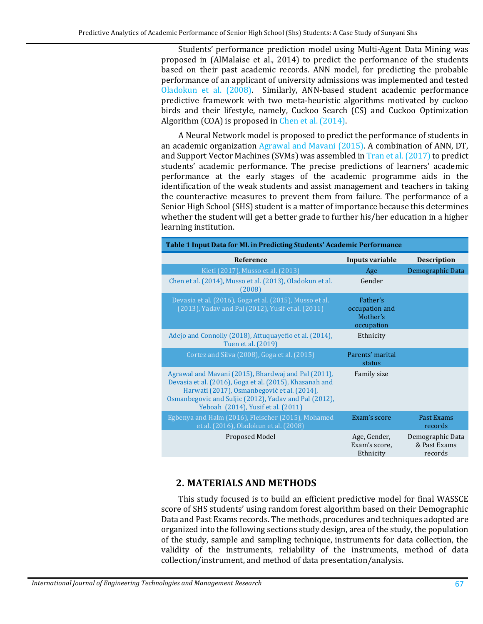Students' performance prediction model using Multi-Agent Data Mining was proposed in (AlMalaise et al., 2014) to predict the performance of the students based on their past academic records. ANN model, for predicting the probable performance of an applicant of university admissions was implemented and tested [Oladokun et al. \(2008\).](#page-16-6) Similarly, ANN-based student academic performance predictive framework with two meta-heuristic algorithms motivated by cuckoo birds and their lifestyle, namely, Cuckoo Search (CS) and Cuckoo Optimization Algorithm (COA) is proposed in [Chen et al. \(2014\).](#page-15-4) 

A Neural Network model is proposed to predict the performance of students in an academic organization [Agrawal and Mavani \(2015\).](#page-14-2) A combination of ANN, DT, and Support Vector Machines (SVMs) was assembled in [Tran et al. \(2017\)](#page-17-1) to predict students' academic performance. The precise predictions of learners' academic performance at the early stages of the academic programme aids in the identification of the weak students and assist management and teachers in taking the counteractive measures to prevent them from failure. The performance of a Senior High School (SHS) student is a matter of importance because this determines whether the student will get a better grade to further his/her education in a higher learning institution.

<span id="page-3-0"></span>

| <b>Table 1 Input Data for ML in Predicting Students' Academic Performance</b>                                                                                                                                                                                |                                                      |                                             |  |  |  |  |  |
|--------------------------------------------------------------------------------------------------------------------------------------------------------------------------------------------------------------------------------------------------------------|------------------------------------------------------|---------------------------------------------|--|--|--|--|--|
| <b>Reference</b>                                                                                                                                                                                                                                             | Inputs variable                                      | <b>Description</b>                          |  |  |  |  |  |
| Kieti (2017), Musso et al. (2013)                                                                                                                                                                                                                            | Age                                                  | Demographic Data                            |  |  |  |  |  |
| Chen et al. (2014), Musso et al. (2013), Oladokun et al.<br>(2008)                                                                                                                                                                                           | Gender                                               |                                             |  |  |  |  |  |
| Devasia et al. (2016), Goga et al. (2015), Musso et al.<br>(2013), Yadav and Pal (2012), Yusif et al. (2011)                                                                                                                                                 | Father's<br>occupation and<br>Mother's<br>occupation |                                             |  |  |  |  |  |
| Adejo and Connolly (2018), Attuquayefio et al. (2014),<br>Tuen et al. (2019)                                                                                                                                                                                 | Ethnicity                                            |                                             |  |  |  |  |  |
| Cortez and Silva (2008), Goga et al. (2015)                                                                                                                                                                                                                  | Parents' marital<br>status                           |                                             |  |  |  |  |  |
| Agrawal and Mavani (2015), Bhardwaj and Pal (2011),<br>Devasia et al. (2016), Goga et al. (2015), Khasanah and<br>Harwati (2017), Osmanbegović et al. (2014),<br>Osmanbegovic and Suljic (2012), Yadav and Pal (2012),<br>Yeboah (2014), Yusif et al. (2011) | Family size                                          |                                             |  |  |  |  |  |
| Egbenya and Halm (2016), Fleischer (2015), Mohamed<br>et al. (2016), Oladokun et al. (2008)                                                                                                                                                                  | Exam's score                                         | Past Exams<br>records                       |  |  |  |  |  |
| Proposed Model                                                                                                                                                                                                                                               | Age, Gender,<br>Exam's score,<br>Ethnicity           | Demographic Data<br>& Past Exams<br>records |  |  |  |  |  |

### **2. MATERIALS AND METHODS**

This study focused is to build an efficient predictive model for final WASSCE score of SHS students' using random forest algorithm based on their Demographic Data and Past Exams records. The methods, procedures and techniques adopted are organized into the following sections study design, area of the study, the population of the study, sample and sampling technique, instruments for data collection, the validity of the instruments, reliability of the instruments, method of data collection/instrument, and method of data presentation/analysis.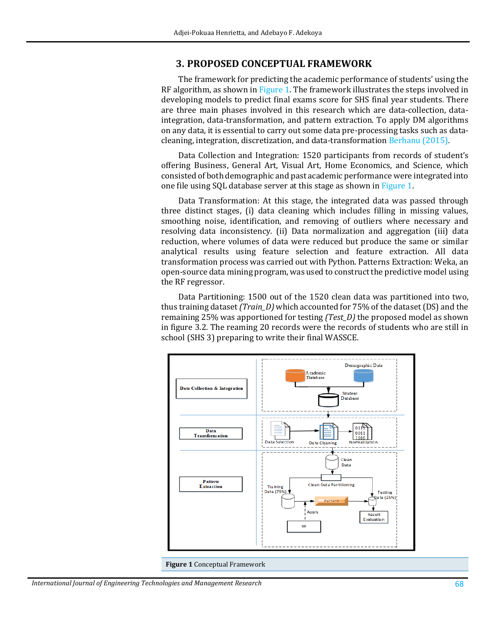### **3. PROPOSED CONCEPTUAL FRAMEWORK**

The framework for predicting the academic performance of students' using the RF algorithm, as shown i[n Figure 1.](#page-4-0) The framework illustrates the steps involved in developing models to predict final exams score for SHS final year students. There are three main phases involved in this research which are data-collection, dataintegration, data-transformation, and pattern extraction. To apply DM algorithms on any data, it is essential to carry out some data pre-processing tasks such as datacleaning, integration, discretization, and data-transformation [Berhanu \(2015\).](#page-14-1) 

Data Collection and Integration: 1520 participants from records of student's offering Business, General Art, Visual Art, Home Economics, and Science, which consisted of both demographic and past academic performance were integrated into one file using SQL database server at this stage as shown in [Figure 1.](#page-4-0) 

Data Transformation: At this stage, the integrated data was passed through three distinct stages, (i) data cleaning which includes filling in missing values, smoothing noise, identification, and removing of outliers where necessary and resolving data inconsistency. (ii) Data normalization and aggregation (iii) data reduction, where volumes of data were reduced but produce the same or similar analytical results using feature selection and feature extraction. All data transformation process was carried out with Python. Patterns Extraction: Weka, an open-source data mining program, was used to construct the predictive model using the RF regressor.

Data Partitioning: 1500 out of the 1520 clean data was partitioned into two, thus training dataset *(Train\_D)* which accounted for 75% of the dataset (DS) and the remaining 25% was apportioned for testing *(Test\_D)* the proposed model as shown in figure 3.2. The reaming 20 records were the records of students who are still in school (SHS 3) preparing to write their final WASSCE.



<span id="page-4-0"></span>**Figure 1** Conceptual Framework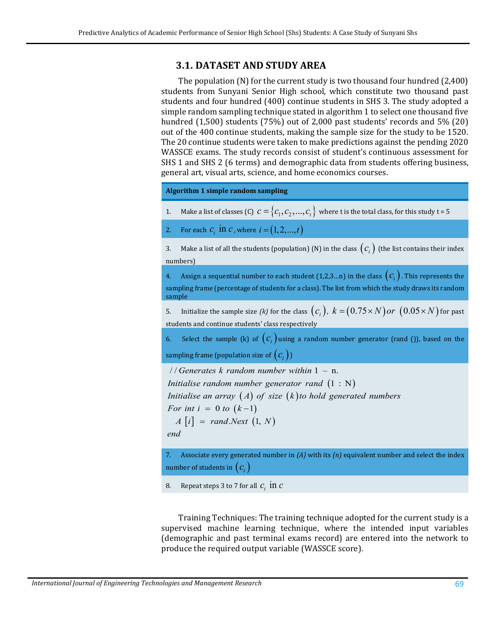### **3.1. DATASET AND STUDY AREA**

The population (N) for the current study is two thousand four hundred (2,400) students from Sunyani Senior High school, which constitute two thousand past students and four hundred (400) continue students in SHS 3. The study adopted a simple random sampling technique stated in algorithm 1 to select one thousand five hundred (1,500) students (75%) out of 2,000 past students' records and 5% (20) out of the 400 continue students, making the sample size for the study to be 1520. The 20 continue students were taken to make predictions against the pending 2020 WASSCE exams. The study records consist of student's continuous assessment for SHS 1 and SHS 2 (6 terms) and demographic data from students offering business, general art, visual arts, science, and home economics courses.

**Algorithm 1 simple random sampling**

- 1. Make a list of classes (C)  $c = \{c_1, c_2, ..., c_t\}$  where t is the total class, for this study t = 5
- 2. For each  $c_i$  in *c*, where  $i = (1, 2, ..., t)$

3. Make a list of all the students (population) (N) in the class  $(c_i)$  (the list contains their index numbers)

4. Assign a sequential number to each student  $(1,2,3...n)$  in the class  $(c_i)$ . This represents the sampling frame (percentage of students for a class). The list from which the study draws its random sample

5. Initialize the sample size *(k)* for the class  $(c_i)$ ,  $k = (0.75 \times N)$  *or*  $(0.05 \times N)$  for past students and continue students' class respectively

6. Select the sample (k) of  $(c_i)$  using a random number generator (rand ()), based on the sampling frame (population size of  $(c_i)$ )

/ / 1 – n. *Generates k random number within*

Initialise random number generator rand  $(1 : N)$ 

Initialise an array  $(A)$  of size  $(k)$ to hold generated numbers

*For int i* = 0 *to*  $(k-1)$ 

 $A[i] = rand.Next (1, N)$ 

*end*

7. Associate every generated number in *(A)* with its *(n)* equivalent number and select the index number of students in  $(c_i)$ 

8. Repeat steps 3 to 7 for all  $c_i$  in  $c$ 

Training Techniques: The training technique adopted for the current study is a supervised machine learning technique, where the intended input variables (demographic and past terminal exams record) are entered into the network to produce the required output variable (WASSCE score).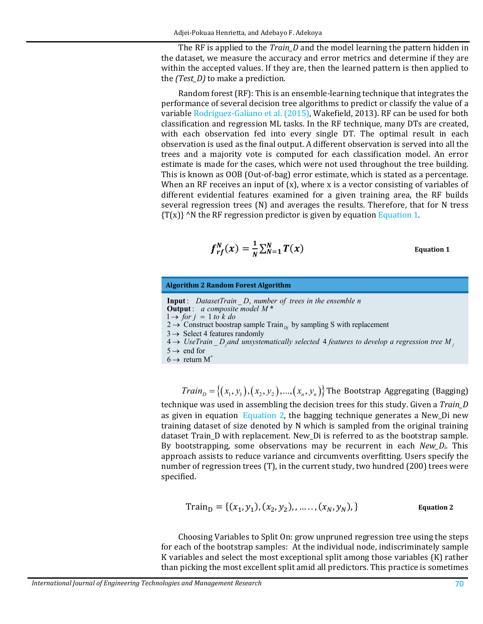The RF is applied to the *Train\_D* and the model learning the pattern hidden in the dataset, we measure the accuracy and error metrics and determine if they are within the accepted values. If they are, then the learned pattern is then applied to the *(Test\_D)* to make a prediction.

Random forest (RF): This is an ensemble-learning technique that integrates the performance of several decision tree algorithms to predict or classify the value of a variable [Rodriguez-Galiano et al. \(2015\),](#page-17-5) Wakefield, 2013). RF can be used for both classification and regression ML tasks. In the RF technique, many DTs are created, with each observation fed into every single DT. The optimal result in each observation is used as the final output. A different observation is served into all the trees and a majority vote is computed for each classification model. An error estimate is made for the cases, which were not used throughout the tree building. This is known as OOB (Out-of-bag) error estimate, which is stated as a percentage. When an RF receives an input of  $(x)$ , where x is a vector consisting of variables of different evidential features examined for a given training area, the RF builds several regression trees (N) and averages the results. Therefore, that for N tress  ${T(x)}$  ^N the RF regression predictor is given by equation Equation 1.

$$
f_{rf}^N(x) = \frac{1}{N} \sum_{N=1}^N T(x)
$$
 Equation 1

<span id="page-6-0"></span>

| <b>Algorithm 2 Random Forest Algorithm</b> |  |  |  |
|--------------------------------------------|--|--|--|
|--------------------------------------------|--|--|--|

- **Input**: DatasetTrain D, number of trees in the ensemble n **Output**: a composite model M<sup>\*</sup>
- $1 \rightarrow$  *for*  $j = 1$  to k do
- 2  $\rightarrow$  Construct boostrap sample Train<sub>*bj*</sub> by sampling S with replacement
- $3 \rightarrow$  Select 4 features randomly
- $4 \rightarrow$  UseTrain  $\Delta D_j$  and unsystematically selected 4 features to develop a regression tree M<sub>j</sub>
- $5 \rightarrow$  end for
- $6 \rightarrow$  return M<sup>\*</sup>

 $Train_{p} = \{(x_1, y_1), (x_2, y_2), ..., (x_n, y_n)\}$  The Bootstrap Aggregating (Bagging) technique was used in assembling the decision trees for this study. Given a *Train\_D* as given in equation [Equation 2,](#page-6-1) the bagging technique generates a New\_Di new training dataset of size denoted by N which is sampled from the original training dataset Train\_D with replacement. New\_Di is referred to as the bootstrap sample. By bootstrapping, some observations may be recurrent in each *New\_Di*. This approach assists to reduce variance and circumvents overfitting. Users specify the number of regression trees (T), in the current study, two hundred (200) trees were specified.

$$
Train_{D} = \{(x_1, y_1), (x_2, y_2), \dots, (x_N, y_N)\}\
$$
Equation 2

<span id="page-6-1"></span>Choosing Variables to Split On: grow unpruned regression tree using the steps for each of the bootstrap samples: At the individual node, indiscriminately sample K variables and select the most exceptional split among those variables (K) rather than picking the most excellent split amid all predictors. This practice is sometimes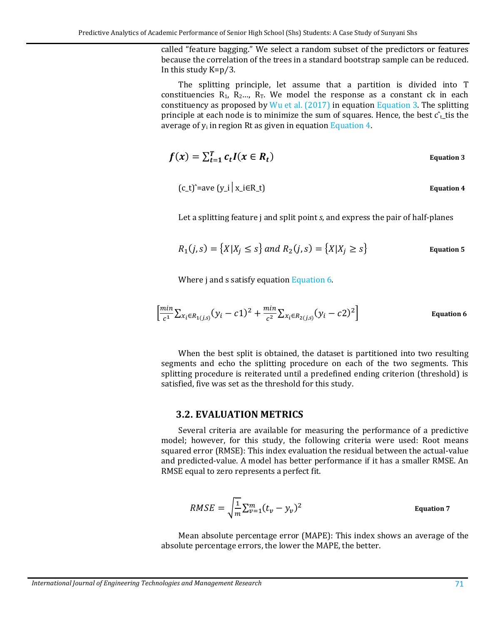called "feature bagging." We select a random subset of the predictors or features because the correlation of the trees in a standard bootstrap sample can be reduced. In this study K=p⁄3.

The splitting principle, let assume that a partition is divided into T constituencies  $R_1$ ,  $R_2...$ ,  $R_T$ . We model the response as a constant ck in each constituency as proposed by  $Wu$  et al. (2017) in equation [Equation 3.](#page-7-0) The splitting principle at each node is to minimize the sum of squares. Hence, the best  $\hat{c}_t$  tis the average of  $y_i$  in region Rt as given in equation [Equation 4.](#page-7-1)

<span id="page-7-1"></span>
$$
f(x) = \sum_{t=1}^{T} c_t I(x \in R_t)
$$
 Equation 3

<span id="page-7-0"></span>
$$
(c_t)^{\hat{}} = ave (y_i | x_i \in R_t)
$$
 Equation 4

Let a splitting feature j and split point *s*, and express the pair of half-planes

$$
R_1(j,s) = \{X|X_j \le s\} \text{ and } R_2(j,s) = \{X|X_j \ge s\}
$$
 Equation 5

<span id="page-7-2"></span>Where j and s satisfy equatio[n Equation 6.](#page-7-2) 

$$
\left[\frac{\min}{c^1} \sum_{x_i \in R_{1(j,s)}} (y_i - c1)^2 + \frac{\min}{c^2} \sum_{x_i \in R_{2(j,s)}} (y_i - c2)^2\right]
$$
 Equation 6

When the best split is obtained, the dataset is partitioned into two resulting segments and echo the splitting procedure on each of the two segments. This splitting procedure is reiterated until a predefined ending criterion (threshold) is satisfied, five was set as the threshold for this study.

#### **3.2. EVALUATION METRICS**

Several criteria are available for measuring the performance of a predictive model; however, for this study, the following criteria were used: Root means squared error (RMSE): This index evaluation the residual between the actual-value and predicted-value. A model has better performance if it has a smaller RMSE. An RMSE equal to zero represents a perfect fit.

$$
RMSE = \sqrt{\frac{1}{m}} \sum_{v=1}^{m} (t_v - y_v)^2
$$
 Equation 7

Mean absolute percentage error (MAPE): This index shows an average of the absolute percentage errors, the lower the MAPE, the better.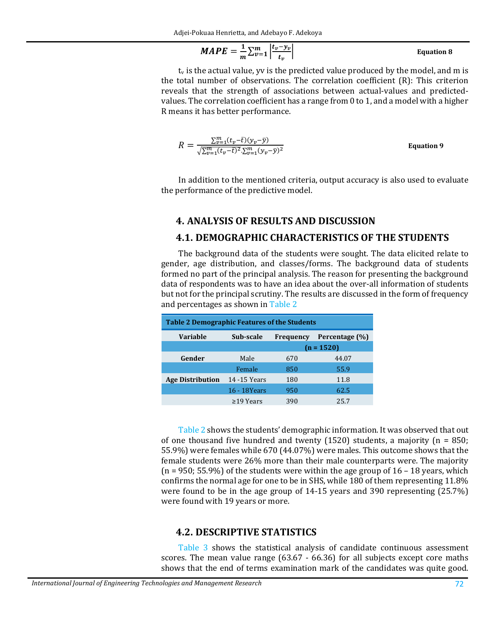$$
MAPE = \frac{1}{m} \sum_{v=1}^{m} \left| \frac{t_v - y_v}{t_v} \right|
$$
 Equation 8

 $t_v$  is the actual value, yv is the predicted value produced by the model, and m is the total number of observations. The correlation coefficient (R): This criterion reveals that the strength of associations between actual-values and predictedvalues. The correlation coefficient has a range from 0 to 1, and a model with a higher R means it has better performance.

$$
R = \frac{\sum_{v=1}^{m} (t_v - \bar{t})(y_v - \bar{y})}{\sqrt{\sum_{v=1}^{m} (t_v - \bar{t})^2} \cdot \sum_{v=1}^{m} (y_v - \bar{y})^2}
$$
 Equation 9

In addition to the mentioned criteria, output accuracy is also used to evaluate the performance of the predictive model.

### **4. ANALYSIS OF RESULTS AND DISCUSSION**

### **4.1. DEMOGRAPHIC CHARACTERISTICS OF THE STUDENTS**

The background data of the students were sought. The data elicited relate to gender, age distribution, and classes/forms. The background data of students formed no part of the principal analysis. The reason for presenting the background data of respondents was to have an idea about the over-all information of students but not for the principal scrutiny. The results are discussed in the form of frequency and percentages as shown in [Table 2](#page-8-0)

<span id="page-8-0"></span>

| <b>Table 2 Demographic Features of the Students</b>                |                 |     |       |  |  |  |  |  |
|--------------------------------------------------------------------|-----------------|-----|-------|--|--|--|--|--|
| <b>Variable</b><br>Sub-scale<br>Percentage (%)<br><b>Frequency</b> |                 |     |       |  |  |  |  |  |
|                                                                    | $(n = 1520)$    |     |       |  |  |  |  |  |
| Gender                                                             | Male            | 670 | 44.07 |  |  |  |  |  |
|                                                                    | Female          | 850 | 55.9  |  |  |  |  |  |
| <b>Age Distribution</b>                                            | 14 - 15 Years   | 180 | 11.8  |  |  |  |  |  |
|                                                                    | 16 - 18Years    | 950 | 62.5  |  |  |  |  |  |
|                                                                    | $\geq$ 19 Years | 390 | 25.7  |  |  |  |  |  |

[Table 2](#page-8-0) shows the students' demographic information. It was observed that out of one thousand five hundred and twenty  $(1520)$  students, a majority  $(n = 850;$ 55.9%) were females while 670 (44.07%) were males. This outcome shows that the female students were 26% more than their male counterparts were. The majority  $(n = 950; 55.9%)$  of the students were within the age group of  $16 - 18$  years, which confirms the normal age for one to be in SHS, while 180 of them representing 11.8% were found to be in the age group of 14-15 years and 390 representing (25.7%) were found with 19 years or more.

### **4.2. DESCRIPTIVE STATISTICS**

[Table 3](#page-9-0) shows the statistical analysis of candidate continuous assessment scores. The mean value range (63.67 - 66.36) for all subjects except core maths shows that the end of terms examination mark of the candidates was quite good.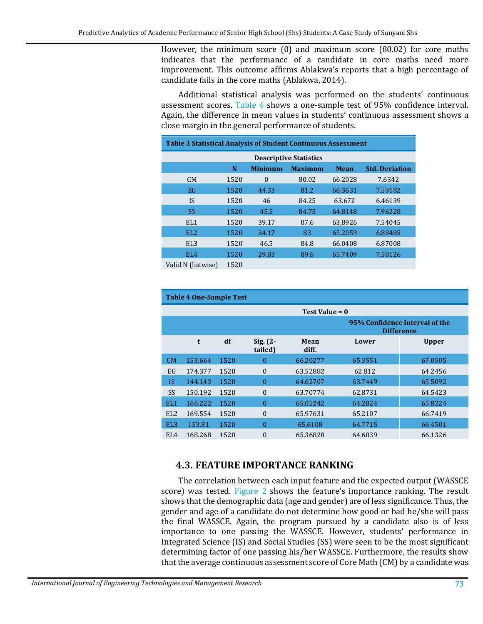However, the minimum score (0) and maximum score (80.02) for core maths indicates that the performance of a candidate in core maths need more improvement. This outcome affirms Ablakwa's reports that a high percentage of candidate fails in the core maths (Ablakwa, 2014).

Additional statistical analysis was performed on the students' continuous assessment scores. [Table 4](#page-9-1) shows a one-sample test of 95% confidence interval. Again, the difference in mean values in students' continuous assessment shows a close margin in the general performance of students.

<span id="page-9-0"></span>

| <b>Table 3 Statistical Analysis of Student Continuous Assessment</b> |                                                                               |          |       |         |         |  |  |  |  |  |
|----------------------------------------------------------------------|-------------------------------------------------------------------------------|----------|-------|---------|---------|--|--|--|--|--|
| <b>Descriptive Statistics</b>                                        |                                                                               |          |       |         |         |  |  |  |  |  |
|                                                                      | <b>Minimum</b><br><b>Std. Deviation</b><br>N<br><b>Maximum</b><br><b>Mean</b> |          |       |         |         |  |  |  |  |  |
| CM                                                                   | 1520                                                                          | $\Omega$ | 80.02 | 66.2028 | 7.6342  |  |  |  |  |  |
| EG                                                                   | 1520                                                                          | 44.33    | 81.2  | 66.3631 | 7.59182 |  |  |  |  |  |
| IS                                                                   | 1520                                                                          | 46       | 84.25 | 63.672  | 6.46139 |  |  |  |  |  |
| <b>SS</b>                                                            | 1520                                                                          | 45.5     | 84.75 | 64.8148 | 7.96228 |  |  |  |  |  |
| EL <sub>1</sub>                                                      | 1520                                                                          | 39.17    | 87.6  | 63.8926 | 7.54045 |  |  |  |  |  |
| EL <sub>2</sub>                                                      | 1520                                                                          | 34.17    | 83    | 65.2059 | 6.88485 |  |  |  |  |  |
| EL <sub>3</sub>                                                      | 1520                                                                          | 46.5     | 84.8  | 66.0408 | 6.87008 |  |  |  |  |  |
| EL <sub>4</sub>                                                      | 1520                                                                          | 29.83    | 89.6  | 65.7409 | 7.50126 |  |  |  |  |  |
| Volid N (lietwice)                                                   | 1570                                                                          |          |       |         |         |  |  |  |  |  |

Valid N (listwise) 1520

<span id="page-9-1"></span>

| <b>Table 4 One-Sample Test</b> |                                                     |      |                        |                  |         |              |  |
|--------------------------------|-----------------------------------------------------|------|------------------------|------------------|---------|--------------|--|
|                                |                                                     |      |                        | Test Value = $0$ |         |              |  |
|                                | 95% Confidence Interval of the<br><b>Difference</b> |      |                        |                  |         |              |  |
|                                | t                                                   | df   | $Sig. (2 -$<br>tailed) | Mean<br>diff.    | Lower   | <b>Upper</b> |  |
| CM                             | 153.664                                             | 1520 | $\theta$               | 66.20277         | 65.3551 | 67.0505      |  |
| EG                             | 174.377                                             | 1520 | $\Omega$               | 63.52882         | 62.812  | 64.2456      |  |
| <b>IS</b>                      | 144.143                                             | 1520 | $\theta$               | 64.62707         | 63.7449 | 65.5092      |  |
| <b>SS</b>                      | 150.192                                             | 1520 | $\Omega$               | 63.70774         | 62.8731 | 64.5423      |  |
| EL <sub>1</sub>                | 166.222                                             | 1520 | $\theta$               | 65.05242         | 64.2824 | 65.8224      |  |
| EL <sub>2</sub>                | 169.554                                             | 1520 | $\theta$               | 65.97631         | 65.2107 | 66.7419      |  |
| EL <sub>3</sub>                | 153.81                                              | 1520 | $\Omega$               | 65.6108          | 64.7715 | 66.4501      |  |
| EL <sub>4</sub>                | 168.268                                             | 1520 | $\theta$               | 65.36828         | 64.6039 | 66.1326      |  |

### **4.3. FEATURE IMPORTANCE RANKING**

The correlation between each input feature and the expected output (WASSCE score) was tested. [Figure 2](#page-10-0) shows the feature's importance ranking. The result shows that the demographic data (age and gender) are of less significance. Thus, the gender and age of a candidate do not determine how good or bad he/she will pass the final WASSCE. Again, the program pursued by a candidate also is of less importance to one passing the WASSCE. However, students' performance in Integrated Science (IS) and Social Studies (SS) were seen to be the most significant determining factor of one passing his/her WASSCE. Furthermore, the results show that the average continuous assessment score of Core Math (CM) by a candidate was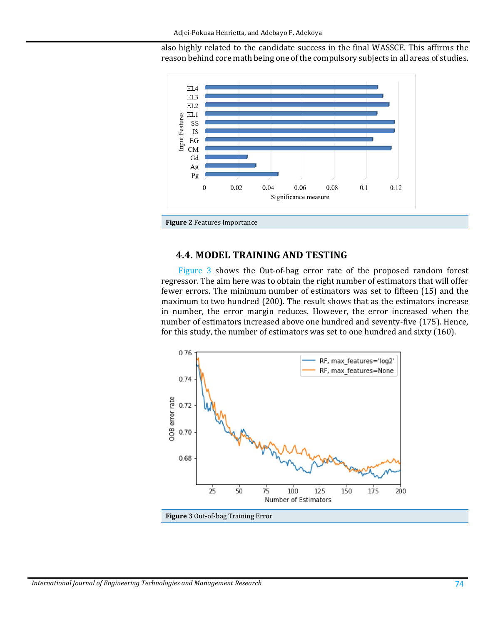also highly related to the candidate success in the final WASSCE. This affirms the reason behind core math being one of the compulsory subjects in all areas of studies.



### <span id="page-10-0"></span>**4.4. MODEL TRAINING AND TESTING**

[Figure 3](#page-10-1) shows the Out-of-bag error rate of the proposed random forest regressor. The aim here was to obtain the right number of estimators that will offer fewer errors. The minimum number of estimators was set to fifteen (15) and the maximum to two hundred (200). The result shows that as the estimators increase in number, the error margin reduces. However, the error increased when the number of estimators increased above one hundred and seventy-five (175). Hence, for this study, the number of estimators was set to one hundred and sixty (160).



<span id="page-10-1"></span>**Figure 3** Out-of-bag Training Error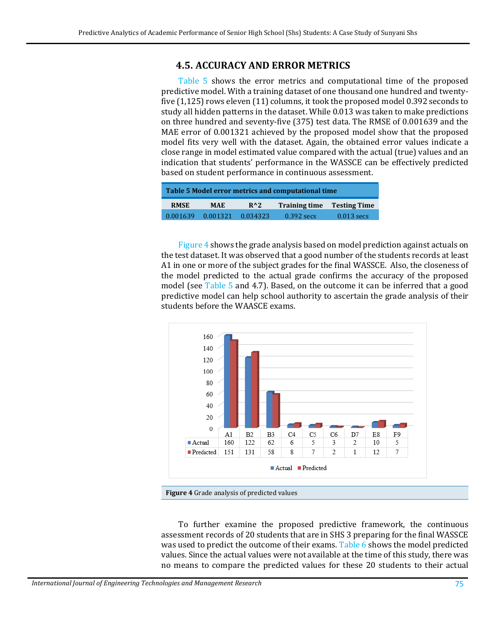### **4.5. ACCURACY AND ERROR METRICS**

[Table 5](#page-11-0) shows the error metrics and computational time of the proposed predictive model. With a training dataset of one thousand one hundred and twentyfive (1,125) rows eleven (11) columns, it took the proposed model 0.392 seconds to study all hidden patterns in the dataset. While 0.013 was taken to make predictions on three hundred and seventy-five (375) test data. The RMSE of 0.001639 and the MAE error of 0.001321 achieved by the proposed model show that the proposed model fits very well with the dataset. Again, the obtained error values indicate a close range in model estimated value compared with the actual (true) values and an indication that students' performance in the WASSCE can be effectively predicted based on student performance in continuous assessment.

<span id="page-11-0"></span>

| Table 5 Model error metrics and computational time |            |               |                                   |              |  |
|----------------------------------------------------|------------|---------------|-----------------------------------|--------------|--|
| <b>RMSE</b>                                        | <b>MAE</b> | $R^{\wedge}2$ | <b>Training time Testing Time</b> |              |  |
| 0.001639                                           | 0.001321   | 0.034323      | $0.392$ secs                      | $0.013$ secs |  |

[Figure 4](#page-11-1) shows the grade analysis based on model prediction against actuals on the test dataset. It was observed that a good number of the students records at least A1 in one or more of the subject grades for the final WASSCE. Also, the closeness of the model predicted to the actual grade confirms the accuracy of the proposed model (see [Table 5](#page-11-0) and 4.7). Based, on the outcome it can be inferred that a good predictive model can help school authority to ascertain the grade analysis of their students before the WAASCE exams.



<span id="page-11-1"></span>**Figure 4** Grade analysis of predicted values

To further examine the proposed predictive framework, the continuous assessment records of 20 students that are in SHS 3 preparing for the final WASSCE was used to predict the outcome of their exams. [Table 6](#page-12-0) shows the model predicted values. Since the actual values were not available at the time of this study, there was no means to compare the predicted values for these 20 students to their actual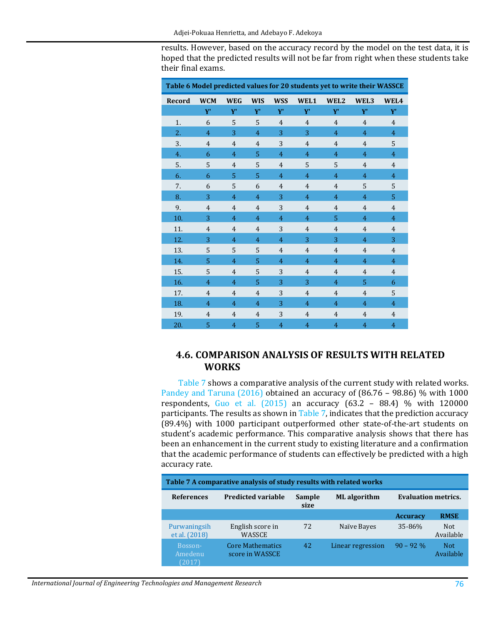results. However, based on the accuracy record by the model on the test data, it is hoped that the predicted results will not be far from right when these students take their final exams.

<span id="page-12-0"></span>

| Table 6 Model predicted values for 20 students yet to write their WASSCE |                |                |                |                |                |                |                |                |
|--------------------------------------------------------------------------|----------------|----------------|----------------|----------------|----------------|----------------|----------------|----------------|
| Record                                                                   | <b>WCM</b>     | <b>WEG</b>     | <b>WIS</b>     | <b>WSS</b>     | WEL1           | WEL2           | WEL3           | WEL4           |
|                                                                          | ${\bf Y}'$     | Y'             | Y'             | Y'             | Y'             | Y'             | Y'             | ${\bf Y}'$     |
| 1.                                                                       | 6              | 5              | 5              | $\overline{4}$ | $\overline{4}$ | $\overline{4}$ | $\overline{4}$ | $\overline{4}$ |
| 2.                                                                       | $\overline{4}$ | 3              | $\overline{4}$ | 3              | 3              | $\overline{4}$ | $\overline{4}$ | $\overline{4}$ |
| 3.                                                                       | $\overline{4}$ | $\overline{4}$ | $\overline{4}$ | 3              | $\overline{4}$ | $\overline{4}$ | $\overline{4}$ | 5              |
| 4.                                                                       | 6              | $\overline{4}$ | 5              | 4              | 4              | 4              | $\overline{4}$ | $\overline{4}$ |
| 5.                                                                       | 5              | $\overline{4}$ | 5              | 4              | 5              | 5              | $\overline{4}$ | $\overline{4}$ |
| 6.                                                                       | 6              | 5              | 5              | 4              | $\overline{4}$ | 4              | $\overline{4}$ | $\overline{4}$ |
| 7.                                                                       | 6              | 5              | 6              | $\overline{4}$ | $\overline{4}$ | $\overline{4}$ | 5              | 5              |
| 8.                                                                       | 3              | $\overline{4}$ | $\overline{4}$ | 3              | 4              | 4              | $\overline{4}$ | 5              |
| 9.                                                                       | $\overline{4}$ | $\overline{4}$ | $\overline{4}$ | 3              | $\overline{4}$ | $\overline{4}$ | $\overline{4}$ | $\overline{4}$ |
| 10.                                                                      | 3              | $\overline{4}$ | $\overline{4}$ | $\overline{4}$ | 4              | 5              | $\overline{4}$ | $\overline{4}$ |
| 11.                                                                      | $\overline{4}$ | $\overline{4}$ | $\overline{4}$ | 3              | $\overline{4}$ | $\overline{4}$ | $\overline{4}$ | $\overline{4}$ |
| 12.                                                                      | 3              | $\overline{4}$ | $\overline{4}$ | $\overline{4}$ | 3              | 3              | $\overline{4}$ | 3              |
| 13.                                                                      | 5              | 5              | 5              | $\overline{4}$ | $\overline{4}$ | $\overline{4}$ | $\overline{4}$ | $\overline{4}$ |
| 14.                                                                      | 5              | $\overline{4}$ | 5              | $\overline{4}$ | $\overline{4}$ | $\overline{4}$ | $\overline{4}$ | $\overline{4}$ |
| 15.                                                                      | 5              | $\overline{4}$ | 5              | 3              | $\overline{4}$ | $\overline{4}$ | $\overline{4}$ | $\overline{4}$ |
| 16.                                                                      | $\overline{4}$ | $\overline{4}$ | 5              | 3              | 3              | 4              | 5              | 6              |
| 17.                                                                      | $\overline{4}$ | $\overline{4}$ | $\overline{4}$ | 3              | $\overline{4}$ | $\overline{4}$ | $\overline{4}$ | 5              |
| 18.                                                                      | $\overline{4}$ | $\overline{4}$ | $\overline{4}$ | 3              | 4              | 4              | $\overline{4}$ | $\overline{4}$ |
| 19.                                                                      | $\overline{4}$ | $\overline{4}$ | $\overline{4}$ | 3              | $\overline{4}$ | $\overline{4}$ | $\overline{4}$ | 4              |
| 20.                                                                      | 5              | $\overline{4}$ | 5              | $\overline{4}$ | $\overline{4}$ | $\overline{4}$ | $\overline{4}$ | $\overline{4}$ |

### **4.6. COMPARISON ANALYSIS OF RESULTS WITH RELATED WORKS**

[Table 7](#page-12-1) shows a comparative analysis of the current study with related works. [Pandey and Taruna \(2016\)](#page-16-2) obtained an accuracy of (86.76 – 98.86) % with 1000 respondents, Guo et al.  $(2015)$  an accuracy  $(63.2 - 88.4)$  % with 120000 participants. The results as shown i[n Table 7,](#page-12-1) indicates that the prediction accuracy (89.4%) with 1000 participant outperformed other state-of-the-art students on student's academic performance. This comparative analysis shows that there has been an enhancement in the current study to existing literature and a confirmation that the academic performance of students can effectively be predicted with a high accuracy rate.

<span id="page-12-1"></span>

| Table 7 A comparative analysis of study results with related works |                                     |                |                     |                            |                         |  |  |
|--------------------------------------------------------------------|-------------------------------------|----------------|---------------------|----------------------------|-------------------------|--|--|
| <b>References</b>                                                  | <b>Predicted variable</b>           | Sample<br>size | <b>ML</b> algorithm | <b>Evaluation metrics.</b> |                         |  |  |
|                                                                    |                                     |                |                     | <b>Accuracy</b>            | <b>RMSE</b>             |  |  |
| Purwaningsih<br>et al. (2018)                                      | English score in<br>WASSCE          | 72             | Naïve Bayes         | 35-86%                     | <b>Not</b><br>Available |  |  |
| Bosson-<br>Amedenu<br>(2017)                                       | Core Mathematics<br>score in WASSCE | 42             | Linear regression   | $90 - 92\%$                | <b>Not</b><br>Available |  |  |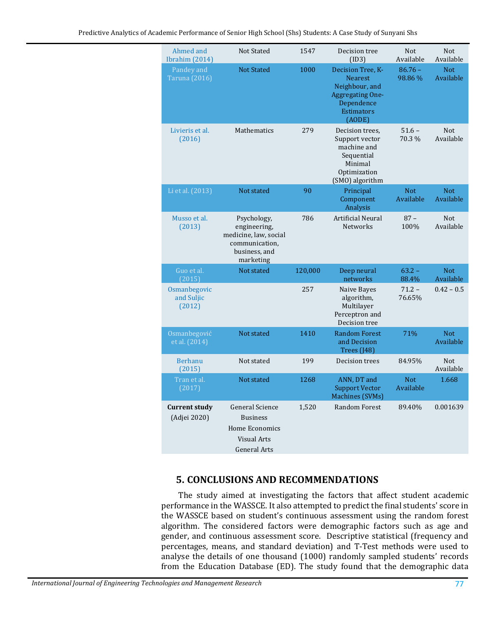| Ahmed and<br>Ibrahim (2014)          | <b>Not Stated</b>                                                                                        | 1547    | Decision tree<br>(ID3)                                                                                                        | <b>Not</b><br>Available | <b>Not</b><br>Available |
|--------------------------------------|----------------------------------------------------------------------------------------------------------|---------|-------------------------------------------------------------------------------------------------------------------------------|-------------------------|-------------------------|
| Pandey and<br><b>Taruna</b> (2016)   | <b>Not Stated</b>                                                                                        | 1000    | Decision Tree, K-<br><b>Nearest</b><br>Neighbour, and<br><b>Aggregating One-</b><br>Dependence<br><b>Estimators</b><br>(AODE) | $86.76 -$<br>98.86%     | <b>Not</b><br>Available |
| Livieris et al.<br>(2016)            | Mathematics                                                                                              | 279     | Decision trees,<br>Support vector<br>machine and<br>Sequential<br>Minimal<br>Optimization<br>(SMO) algorithm                  | $51.6 -$<br>70.3 %      | <b>Not</b><br>Available |
| Li et al. (2013)                     | Not stated                                                                                               | 90      | Principal<br>Component<br>Analysis                                                                                            | <b>Not</b><br>Available | Not.<br>Available       |
| Musso et al.<br>(2013)               | Psychology,<br>engineering,<br>medicine, law, social<br>communication,<br>business, and<br>marketing     | 786     | Artificial Neural<br><b>Networks</b>                                                                                          | $87 -$<br>100%          | <b>Not</b><br>Available |
| Guo et al.<br>(2015)                 | Not stated                                                                                               | 120,000 | Deep neural<br>networks                                                                                                       | $63.2 -$<br>88.4%       | <b>Not</b><br>Available |
| Osmanbegovic<br>and Suljic<br>(2012) |                                                                                                          | 257     | Naive Bayes<br>algorithm,<br>Multilayer<br>Perceptron and<br>Decision tree                                                    | $71.2 -$<br>76.65%      | $0.42 - 0.5$            |
| Osmanbegović<br>et al. (2014)        | Not stated                                                                                               | 1410    | <b>Random Forest</b><br>and Decision<br>Trees (J48)                                                                           | 71%                     | <b>Not</b><br>Available |
| <b>Berhanu</b><br>(2015)             | Not stated                                                                                               | 199     | Decision trees                                                                                                                | 84.95%                  | Not<br>Available        |
| Tran et al.<br>(2017)                | Not stated                                                                                               | 1268    | ANN, DT and<br><b>Support Vector</b><br>Machines (SVMs)                                                                       | <b>Not</b><br>Available | 1.668                   |
| <b>Current study</b><br>(Adjei 2020) | <b>General Science</b><br><b>Business</b><br>Home Economics<br><b>Visual Arts</b><br><b>General Arts</b> | 1,520   | <b>Random Forest</b>                                                                                                          | 89.40%                  | 0.001639                |

### **5. CONCLUSIONS AND RECOMMENDATIONS**

The study aimed at investigating the factors that affect student academic performance in the WASSCE. It also attempted to predict the final students' score in the WASSCE based on student's continuous assessment using the random forest algorithm. The considered factors were demographic factors such as age and gender, and continuous assessment score. Descriptive statistical (frequency and percentages, means, and standard deviation) and T-Test methods were used to analyse the details of one thousand (1000) randomly sampled students' records from the Education Database (ED). The study found that the demographic data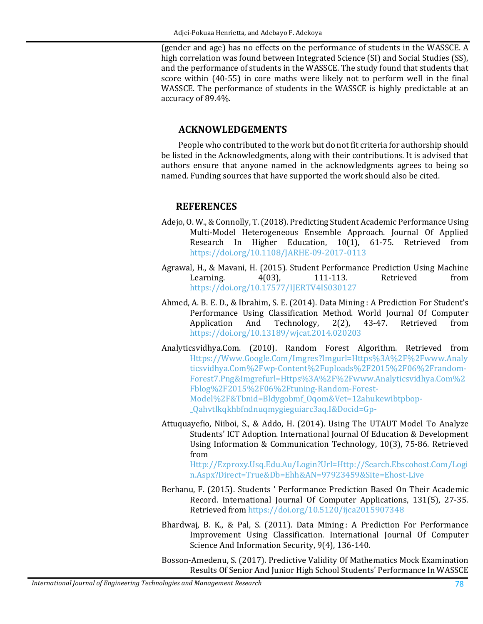(gender and age) has no effects on the performance of students in the WASSCE. A high correlation was found between Integrated Science (SI) and Social Studies (SS), and the performance of students in the WASSCE. The study found that students that score within (40-55) in core maths were likely not to perform well in the final WASSCE. The performance of students in the WASSCE is highly predictable at an accuracy of 89.4%.

## **ACKNOWLEDGEMENTS**

People who contributed to the work but do not fit criteria for authorship should be listed in the Acknowledgments, along with their contributions. It is advised that authors ensure that anyone named in the acknowledgments agrees to being so named. Funding sources that have supported the work should also be cited.

### **REFERENCES**

- <span id="page-14-3"></span>Adejo, O. W., & Connolly, T. (2018). Predicting Student Academic Performance Using Multi-Model Heterogeneous Ensemble Approach. Journal Of Applied Research In Higher Education, 10(1), 61-75. Retrieved from <https://doi.org/10.1108/JARHE-09-2017-0113>
- <span id="page-14-2"></span>Agrawal, H., & Mavani, H. (2015). Student Performance Prediction Using Machine<br>Learning. 4(03), 111-113. Retrieved from Learning. 4(03), 111-113. Retrieved from <https://doi.org/10.17577/IJERTV4IS030127>
- <span id="page-14-6"></span>Ahmed, A. B. E. D., & Ibrahim, S. E. (2014). Data Mining : A Prediction For Student's Performance Using Classification Method. World Journal Of Computer<br>Application And Technology, 2(2), 43-47. Retrieved from Technology, <https://doi.org/10.13189/wjcat.2014.020203>
- Analyticsvidhya.Com. (2010). Random Forest Algorithm. Retrieved from [Https://Www.Google.Com/Imgres?Imgurl=Https%3A%2F%2Fwww.Analy](https://www.google.com/Imgres?Imgurl=Https%3A%2F%2Fwww.Analyticsvidhya.Com%2Fwp-Content%2Fuploads%2F2015%2F06%2Frandom-Forest7.Png&Imgrefurl=Https%3A%2F%2Fwww.Analyticsvidhya.Com%2Fblog%2F2015%2F06%2Ftuning-Random-Forest-Model%2F&Tbnid=Bldygobmf_Oqom&Vet=12ahukewibtpbop-_Qahvtlkqkhbfndnuqmygieguiarc3aq.I&Docid=Gp-) [ticsvidhya.Com%2Fwp-Content%2Fuploads%2F2015%2F06%2Frandom-](https://www.google.com/Imgres?Imgurl=Https%3A%2F%2Fwww.Analyticsvidhya.Com%2Fwp-Content%2Fuploads%2F2015%2F06%2Frandom-Forest7.Png&Imgrefurl=Https%3A%2F%2Fwww.Analyticsvidhya.Com%2Fblog%2F2015%2F06%2Ftuning-Random-Forest-Model%2F&Tbnid=Bldygobmf_Oqom&Vet=12ahukewibtpbop-_Qahvtlkqkhbfndnuqmygieguiarc3aq.I&Docid=Gp-)[Forest7.Png&Imgrefurl=Https%3A%2F%2Fwww.Analyticsvidhya.Com%2](https://www.google.com/Imgres?Imgurl=Https%3A%2F%2Fwww.Analyticsvidhya.Com%2Fwp-Content%2Fuploads%2F2015%2F06%2Frandom-Forest7.Png&Imgrefurl=Https%3A%2F%2Fwww.Analyticsvidhya.Com%2Fblog%2F2015%2F06%2Ftuning-Random-Forest-Model%2F&Tbnid=Bldygobmf_Oqom&Vet=12ahukewibtpbop-_Qahvtlkqkhbfndnuqmygieguiarc3aq.I&Docid=Gp-) [Fblog%2F2015%2F06%2Ftuning-Random-Forest-](https://www.google.com/Imgres?Imgurl=Https%3A%2F%2Fwww.Analyticsvidhya.Com%2Fwp-Content%2Fuploads%2F2015%2F06%2Frandom-Forest7.Png&Imgrefurl=Https%3A%2F%2Fwww.Analyticsvidhya.Com%2Fblog%2F2015%2F06%2Ftuning-Random-Forest-Model%2F&Tbnid=Bldygobmf_Oqom&Vet=12ahukewibtpbop-_Qahvtlkqkhbfndnuqmygieguiarc3aq.I&Docid=Gp-)[Model%2F&Tbnid=Bldygobmf\\_Oqom&Vet=12ahukewibtpbop-](https://www.google.com/Imgres?Imgurl=Https%3A%2F%2Fwww.Analyticsvidhya.Com%2Fwp-Content%2Fuploads%2F2015%2F06%2Frandom-Forest7.Png&Imgrefurl=Https%3A%2F%2Fwww.Analyticsvidhya.Com%2Fblog%2F2015%2F06%2Ftuning-Random-Forest-Model%2F&Tbnid=Bldygobmf_Oqom&Vet=12ahukewibtpbop-_Qahvtlkqkhbfndnuqmygieguiarc3aq.I&Docid=Gp-) [\\_Qahvtlkqkhbfndnuqmygieguiarc3aq.I&Docid=Gp-](https://www.google.com/Imgres?Imgurl=Https%3A%2F%2Fwww.Analyticsvidhya.Com%2Fwp-Content%2Fuploads%2F2015%2F06%2Frandom-Forest7.Png&Imgrefurl=Https%3A%2F%2Fwww.Analyticsvidhya.Com%2Fblog%2F2015%2F06%2Ftuning-Random-Forest-Model%2F&Tbnid=Bldygobmf_Oqom&Vet=12ahukewibtpbop-_Qahvtlkqkhbfndnuqmygieguiarc3aq.I&Docid=Gp-)
- <span id="page-14-4"></span>Attuquayefio, Niiboi, S., & Addo, H. (2014). Using The UTAUT Model To Analyze Students' ICT Adoption. International Journal Of Education & Development Using Information & Communication Technology, 10(3), 75-86. Retrieved from

[Http://Ezproxy.Usq.Edu.Au/Login?Url=Http://Search.Ebscohost.Com/Logi](http://ezproxy.usq.edu.au/Login?Url=Http://Search.Ebscohost.Com/Login.Aspx?Direct=True&Db=Ehh&AN=97923459&Site=Ehost-Live) [n.Aspx?Direct=True&Db=Ehh&AN=97923459&Site=Ehost-Live](http://ezproxy.usq.edu.au/Login?Url=Http://Search.Ebscohost.Com/Login.Aspx?Direct=True&Db=Ehh&AN=97923459&Site=Ehost-Live)

- <span id="page-14-1"></span>Berhanu, F. (2015). Students ' Performance Prediction Based On Their Academic Record. International Journal Of Computer Applications, 131(5), 27-35. Retrieved from <https://doi.org/10.5120/ijca2015907348>
- <span id="page-14-0"></span>Bhardwaj, B. K., & Pal, S. (2011). Data Mining : A Prediction For Performance Improvement Using Classification. International Journal Of Computer Science And Information Security, 9(4), 136-140.

<span id="page-14-5"></span>Bosson-Amedenu, S. (2017). Predictive Validity Of Mathematics Mock Examination Results Of Senior And Junior High School Students' Performance In WASSCE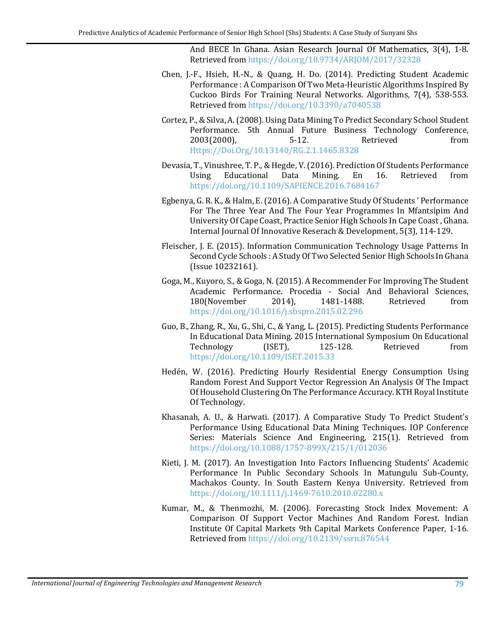And BECE In Ghana. Asian Research Journal Of Mathematics, 3(4), 1-8. Retrieved from <https://doi.org/10.9734/ARJOM/2017/32328>

- <span id="page-15-4"></span>Chen, J.-F., Hsieh, H.-N., & Quang, H. Do. (2014). Predicting Student Academic Performance : A Comparison Of Two Meta-Heuristic Algorithms Inspired By Cuckoo Birds For Training Neural Networks. Algorithms, 7(4), 538-553. Retrieved from <https://doi.org/10.3390/a7040538>
- <span id="page-15-6"></span>Cortez, P., & Silva, A. (2008). Using Data Mining To Predict Secondary School Student Performance. 5th Annual Future Business Technology Conference,<br>2003(2000). 5-12. Retrieved from  $2003(2000)$ , [Https://Doi.Org/10.13140/RG.2.1.1465.8328](https://doi.org/10.13140/RG.2.1.1465.8328)
- <span id="page-15-3"></span>Devasia, T., Vinushree, T. P., & Hegde, V. (2016). Prediction Of Students Performance Educational <https://doi.org/10.1109/SAPIENCE.2016.7684167>
- <span id="page-15-1"></span>Egbenya, G. R. K., & Halm, E. (2016). A Comparative Study Of Students ' Performance For The Three Year And The Four Year Programmes In Mfantsipim And University Of Cape Coast, Practice Senior High Schools In Cape Coast , Ghana. Internal Journal Of Innovative Reserach & Development, 5(3), 114-129.
- <span id="page-15-7"></span>Fleischer, J. E. (2015). Information Communication Technology Usage Patterns In Second Cycle Schools : A Study Of Two Selected Senior High Schools In Ghana (Issue 10232161).
- <span id="page-15-5"></span>Goga, M., Kuyoro, S., & Goga, N. (2015). A Recommender For Improving The Student Academic Performance. Procedia - Social And Behavioral Sciences,<br>180(November 2014). 1481-1488. Retrieved from 180(November <https://doi.org/10.1016/j.sbspro.2015.02.296>
- <span id="page-15-8"></span>Guo, B., Zhang, R., Xu, G., Shi, C., & Yang, L. (2015). Predicting Students Performance In Educational Data Mining. 2015 International Symposium On Educational Technology <https://doi.org/10.1109/ISET.2015.33>
- Hedén, W. (2016). Predicting Hourly Residential Energy Consumption Using Random Forest And Support Vector Regression An Analysis Of The Impact Of Household Clustering On The Performance Accuracy. KTH Royal Institute Of Technology.
- <span id="page-15-2"></span>Khasanah, A. U., & Harwati. (2017). A Comparative Study To Predict Student's Performance Using Educational Data Mining Techniques. IOP Conference Series: Materials Science And Engineering, 215(1). Retrieved from <https://doi.org/10.1088/1757-899X/215/1/012036>
- <span id="page-15-0"></span>Kieti, J. M. (2017). An Investigation Into Factors Influencing Students' Academic Performance In Public Secondary Schools In Matungulu Sub-County, Machakos County. In South Eastern Kenya University. Retrieved from <https://doi.org/10.1111/j.1469-7610.2010.02280.x>
- Kumar, M., & Thenmozhi, M. (2006). Forecasting Stock Index Movement: A Comparison Of Support Vector Machines And Random Forest. Indian Institute Of Capital Markets 9th Capital Markets Conference Paper, 1-16. Retrieved from <https://doi.org/10.2139/ssrn.876544>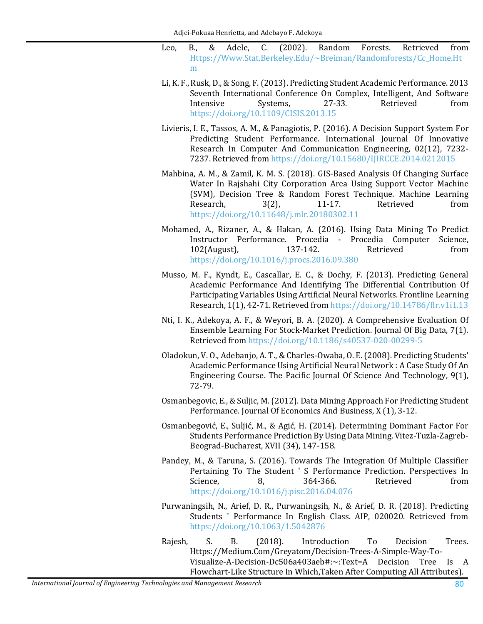- Leo, B., & Adele, C. (2002). Random Forests. Retrieved from [Https://Www.Stat.Berkeley.Edu/~Breiman/Randomforests/Cc\\_Home.Ht](https://www.stat.berkeley.edu/%7EBreiman/Randomforests/Cc_Home.Htm) [m](https://www.stat.berkeley.edu/%7EBreiman/Randomforests/Cc_Home.Htm)
- <span id="page-16-1"></span>Li, K. F., Rusk, D., & Song, F. (2013). Predicting Student Academic Performance. 2013 Seventh International Conference On Complex, Intelligent, And Software<br>Intensive Systems, 27-33. Retrieved from Intensive Systems, 27-33. Retrieved from <https://doi.org/10.1109/CISIS.2013.15>
- <span id="page-16-8"></span>Livieris, I. E., Tassos, A. M., & Panagiotis, P. (2016). A Decision Support System For Predicting Student Performance. International Journal Of Innovative Research In Computer And Communication Engineering, 02(12), 7232- 7237. Retrieved from <https://doi.org/10.15680/IJIRCCE.2014.0212015>
- Mahbina, A. M., & Zamil, K. M. S. (2018). GIS-Based Analysis Of Changing Surface Water In Rajshahi City Corporation Area Using Support Vector Machine (SVM), Decision Tree & Random Forest Technique. Machine Learning<br>Research, 3(2), 11-17. Retrieved from Research, 3(2), 11-17. Retrieved from <https://doi.org/10.11648/j.mlr.20180302.11>
- <span id="page-16-0"></span>Mohamed, A., Rizaner, A., & Hakan, A. (2016). Using Data Mining To Predict Instructor Performance. Procedia - Procedia Computer Science,  $102$ (August), <https://doi.org/10.1016/j.procs.2016.09.380>
- <span id="page-16-3"></span>Musso, M. F., Kyndt, E., Cascallar, E. C., & Dochy, F. (2013). Predicting General Academic Performance And Identifying The Differential Contribution Of Participating Variables Using Artificial Neural Networks. Frontline Learning Research, 1(1), 42-71. Retrieved from <https://doi.org/10.14786/flr.v1i1.13>
- Nti, I. K., Adekoya, A. F., & Weyori, B. A. (2020). A Comprehensive Evaluation Of Ensemble Learning For Stock-Market Prediction. Journal Of Big Data, 7(1). Retrieved from <https://doi.org/10.1186/s40537-020-00299-5>
- <span id="page-16-6"></span>Oladokun, V. O., Adebanjo, A. T., & Charles-Owaba, O. E. (2008). Predicting Students' Academic Performance Using Artificial Neural Network : A Case Study Of An Engineering Course. The Pacific Journal Of Science And Technology, 9(1), 72-79.
- <span id="page-16-5"></span>Osmanbegovic, E., & Suljic, M. (2012). Data Mining Approach For Predicting Student Performance. Journal Of Economics And Business, X (1), 3-12.
- <span id="page-16-4"></span>Osmanbegović, E., Suljić, M., & Agić, H. (2014). Determining Dominant Factor For Students Performance Prediction By Using Data Mining. Vitez-Tuzla-Zagreb-Beograd-Bucharest, XVII (34), 147-158.
- <span id="page-16-2"></span>Pandey, M., & Taruna, S. (2016). Towards The Integration Of Multiple Classifier Pertaining To The Student ' S Performance Prediction. Perspectives In<br>Science. 8. 364-366. Retrieved from Science, 8, 364-366. Retrieved from <https://doi.org/10.1016/j.pisc.2016.04.076>
- <span id="page-16-7"></span>Purwaningsih, N., Arief, D. R., Purwaningsih, N., & Arief, D. R. (2018). Predicting Students ' Performance In English Class. AIP, 020020. Retrieved from <https://doi.org/10.1063/1.5042876>
- Rajesh, S. B. (2018). Introduction To Decision Trees. Https://Medium.Com/Greyatom/Decision-Trees-A-Simple-Way-To-Visualize-A-Decision-Dc506a403aeb#:~:Text=A Decision Tree Is A Flowchart-Like Structure In Which,Taken After Computing All Attributes).